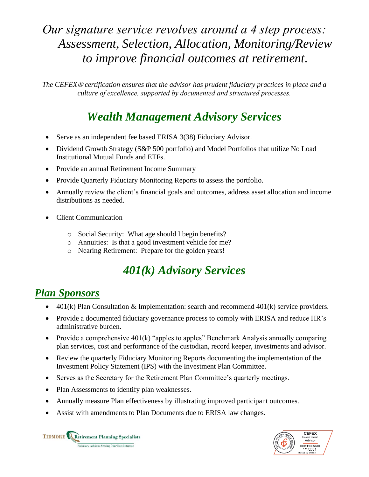# *Our signature service revolves around a 4 step process: Assessment, Selection, Allocation, Monitoring/Review to improve financial outcomes at retirement.*

*The CEFEX certification ensures that the advisor has prudent fiduciary practices in place and a culture of excellence, supported by documented and structured processes.*

### *Wealth Management Advisory Services*

- Serve as an independent fee based ERISA 3(38) Fiduciary Advisor.
- Dividend Growth Strategy (S&P 500 portfolio) and Model Portfolios that utilize No Load Institutional Mutual Funds and ETFs.
- Provide an annual Retirement Income Summary
- Provide Quarterly Fiduciary Monitoring Reports to assess the portfolio.
- Annually review the client's financial goals and outcomes, address asset allocation and income distributions as needed.
- Client Communication
	- o Social Security: What age should I begin benefits?
	- o Annuities: Is that a good investment vehicle for me?
	- o Nearing Retirement: Prepare for the golden years!

# *401(k) Advisory Services*

#### *Plan Sponsors*

- $401(k)$  Plan Consultation & Implementation: search and recommend  $401(k)$  service providers.
- Provide a documented fiduciary governance process to comply with ERISA and reduce HR's administrative burden.
- Provide a comprehensive  $401(k)$  "apples to apples" Benchmark Analysis annually comparing plan services, cost and performance of the custodian, record keeper, investments and advisor.
- Review the quarterly Fiduciary Monitoring Reports documenting the implementation of the Investment Policy Statement (IPS) with the Investment Plan Committee.
- Serves as the Secretary for the Retirement Plan Committee's quarterly meetings.
- Plan Assessments to identify plan weaknesses.
- Annually measure Plan effectiveness by illustrating improved participant outcomes.
- Assist with amendments to Plan Documents due to ERISA law changes.